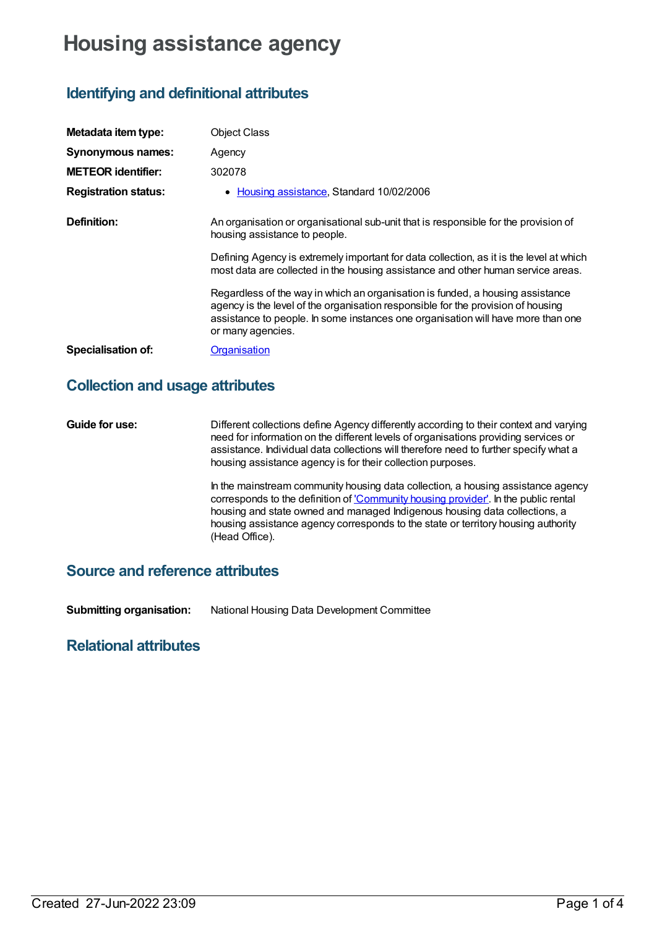# **Housing assistance agency**

## **Identifying and definitional attributes**

| Metadata item type:         | <b>Object Class</b>                                                                                                                                                                                                                                                         |
|-----------------------------|-----------------------------------------------------------------------------------------------------------------------------------------------------------------------------------------------------------------------------------------------------------------------------|
| Synonymous names:           | Agency                                                                                                                                                                                                                                                                      |
| <b>METEOR identifier:</b>   | 302078                                                                                                                                                                                                                                                                      |
| <b>Registration status:</b> | • Housing assistance, Standard 10/02/2006                                                                                                                                                                                                                                   |
| Definition:                 | An organisation or organisational sub-unit that is responsible for the provision of<br>housing assistance to people.                                                                                                                                                        |
|                             | Defining Agency is extremely important for data collection, as it is the level at which<br>most data are collected in the housing assistance and other human service areas.                                                                                                 |
|                             | Regardless of the way in which an organisation is funded, a housing assistance<br>agency is the level of the organisation responsible for the provision of housing<br>assistance to people. In some instances one organisation will have more than one<br>or many agencies. |
| <b>Specialisation of:</b>   | Organisation                                                                                                                                                                                                                                                                |

### **Collection and usage attributes**

**Guide for use:** Different collections define Agency differently according to their context and varying need for information on the different levels of organisations providing services or assistance. Individual data collections will therefore need to further specify what a housing assistance agency is for their collection purposes.

> In the mainstream community housing data collection*,* a housing assistance agency corresponds to the definition of ['Community](file:///content/292033) housing provider'. In the public rental housing and state owned and managed Indigenous housing data collections, a housing assistance agency corresponds to the state or territory housing authority (Head Office).

#### **Source and reference attributes**

**Submitting organisation:** National Housing Data Development Committee

#### **Relational attributes**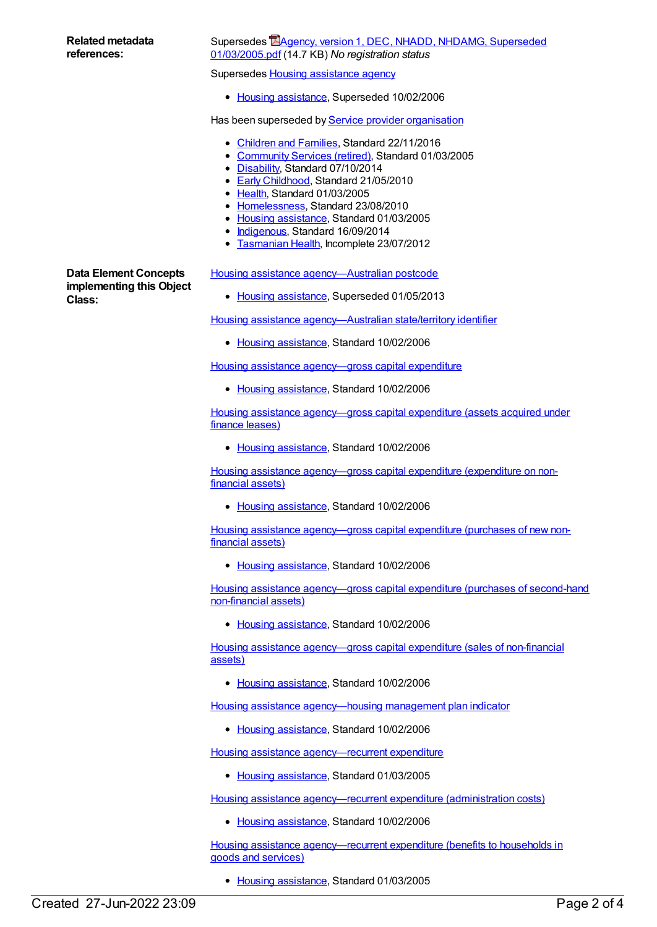#### Supersedes **Housing [assistance](https://meteor.aihw.gov.au/content/269006) agency**

• Housing [assistance](https://meteor.aihw.gov.au/RegistrationAuthority/11), Superseded 10/02/2006

Has been superseded by Service provider [organisation](https://meteor.aihw.gov.au/content/269022)

- [Children](https://meteor.aihw.gov.au/RegistrationAuthority/17) and Families, Standard 22/11/2016
- [Community](https://meteor.aihw.gov.au/RegistrationAuthority/1) Services (retired), Standard 01/03/2005
- [Disability](https://meteor.aihw.gov.au/RegistrationAuthority/16), Standard 07/10/2014
- Early [Childhood](https://meteor.aihw.gov.au/RegistrationAuthority/13), Standard 21/05/2010
- [Health](https://meteor.aihw.gov.au/RegistrationAuthority/12), Standard 01/03/2005
- [Homelessness](https://meteor.aihw.gov.au/RegistrationAuthority/14), Standard 23/08/2010
- Housing [assistance](https://meteor.aihw.gov.au/RegistrationAuthority/11), Standard 01/03/2005
- [Indigenous](https://meteor.aihw.gov.au/RegistrationAuthority/6), Standard 16/09/2014
- **[Tasmanian](https://meteor.aihw.gov.au/RegistrationAuthority/15) Health, Incomplete 23/07/2012**

**Data Element Concepts implementing this Object Class:**

Housing assistance [agency—Australian](https://meteor.aihw.gov.au/content/302058) postcode

• Housing [assistance](https://meteor.aihw.gov.au/RegistrationAuthority/11), Superseded 01/05/2013

Housing assistance [agency—Australian](https://meteor.aihw.gov.au/content/302062) state/territory identifier

• Housing [assistance](https://meteor.aihw.gov.au/RegistrationAuthority/11), Standard 10/02/2006

Housing assistance [agency—gross](https://meteor.aihw.gov.au/content/305340) capital expenditure

• Housing [assistance](https://meteor.aihw.gov.au/RegistrationAuthority/11), Standard 10/02/2006

Housing assistance [agency—gross](https://meteor.aihw.gov.au/content/305311) capital expenditure (assets acquired under finance leases)

• Housing [assistance](https://meteor.aihw.gov.au/RegistrationAuthority/11), Standard 10/02/2006

Housing assistance [agency—gross](https://meteor.aihw.gov.au/content/305316) capital expenditure (expenditure on nonfinancial assets)

• Housing [assistance](https://meteor.aihw.gov.au/RegistrationAuthority/11), Standard 10/02/2006

Housing assistance [agency—gross](https://meteor.aihw.gov.au/content/305321) capital expenditure (purchases of new nonfinancial assets)

• Housing [assistance](https://meteor.aihw.gov.au/RegistrationAuthority/11), Standard 10/02/2006

Housing assistance [agency—gross](https://meteor.aihw.gov.au/content/305327) capital expenditure (purchases of second-hand non-financial assets)

• Housing [assistance](https://meteor.aihw.gov.au/RegistrationAuthority/11), Standard 10/02/2006

Housing assistance [agency—gross](https://meteor.aihw.gov.au/content/305333) capital expenditure (sales of non-financial assets)

• Housing [assistance](https://meteor.aihw.gov.au/RegistrationAuthority/11), Standard 10/02/2006

Housing assistance [agency—housing](https://meteor.aihw.gov.au/content/292316) management plan indicator

• Housing [assistance](https://meteor.aihw.gov.au/RegistrationAuthority/11), Standard 10/02/2006

Housing assistance [agency—recurrent](https://meteor.aihw.gov.au/content/269846) expenditure

• Housing [assistance](https://meteor.aihw.gov.au/RegistrationAuthority/11), Standard 01/03/2005

Housing assistance [agency—recurrent](https://meteor.aihw.gov.au/content/305360) expenditure (administration costs)

• Housing [assistance](https://meteor.aihw.gov.au/RegistrationAuthority/11), Standard 10/02/2006

Housing assistance [agency—recurrent](https://meteor.aihw.gov.au/content/269841) expenditure (benefits to households in goods and services)

• Housing [assistance](https://meteor.aihw.gov.au/RegistrationAuthority/11), Standard 01/03/2005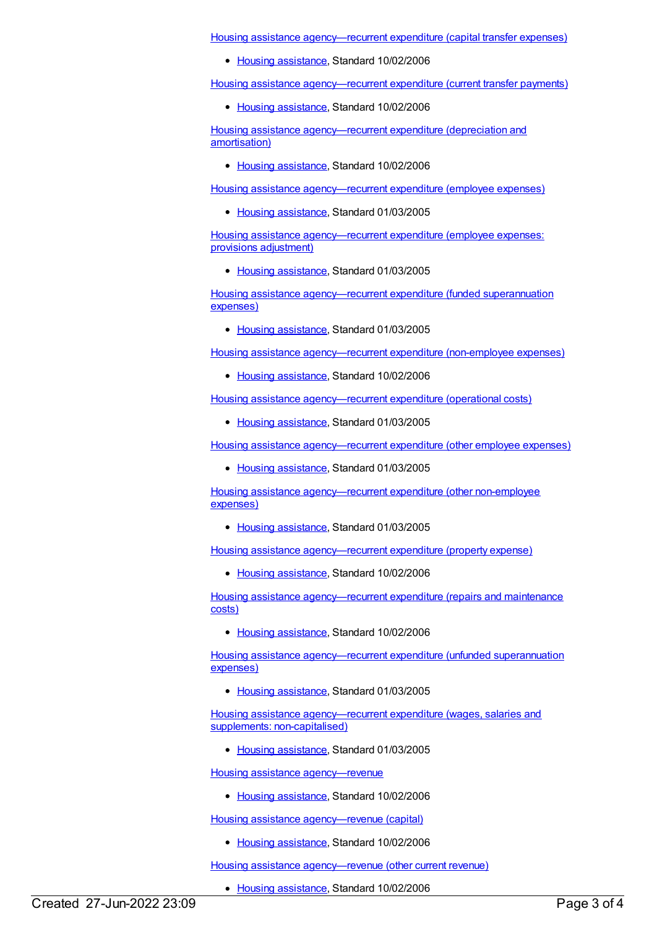Housing assistance [agency—recurrent](https://meteor.aihw.gov.au/content/304172) expenditure (capital transfer expenses)

• Housing [assistance](https://meteor.aihw.gov.au/RegistrationAuthority/11), Standard 10/02/2006

Housing assistance [agency—recurrent](https://meteor.aihw.gov.au/content/304165) expenditure (current transfer payments)

• Housing [assistance](https://meteor.aihw.gov.au/RegistrationAuthority/11), Standard 10/02/2006

Housing assistance [agency—recurrent](https://meteor.aihw.gov.au/content/304158) expenditure (depreciation and amortisation)

• Housing [assistance](https://meteor.aihw.gov.au/RegistrationAuthority/11), Standard 10/02/2006

Housing assistance [agency—recurrent](https://meteor.aihw.gov.au/content/269579) expenditure (employee expenses)

• Housing [assistance](https://meteor.aihw.gov.au/RegistrationAuthority/11), Standard 01/03/2005

Housing assistance [agency—recurrent](https://meteor.aihw.gov.au/content/269838) expenditure (employee expenses: provisions adjustment)

• Housing [assistance](https://meteor.aihw.gov.au/RegistrationAuthority/11), Standard 01/03/2005

Housing assistance [agency—recurrent](https://meteor.aihw.gov.au/content/269835) expenditure (funded superannuation expenses)

• Housing [assistance](https://meteor.aihw.gov.au/RegistrationAuthority/11), Standard 01/03/2005

Housing assistance [agency—recurrent](https://meteor.aihw.gov.au/content/304150) expenditure (non-employee expenses)

• Housing [assistance](https://meteor.aihw.gov.au/RegistrationAuthority/11), Standard 10/02/2006

Housing assistance [agency—recurrent](https://meteor.aihw.gov.au/content/269683) expenditure (operational costs)

• Housing [assistance](https://meteor.aihw.gov.au/RegistrationAuthority/11), Standard 01/03/2005

Housing assistance [agency—recurrent](https://meteor.aihw.gov.au/content/269839) expenditure (other employee expenses)

• Housing [assistance](https://meteor.aihw.gov.au/RegistrationAuthority/11), Standard 01/03/2005

Housing assistance [agency—recurrent](https://meteor.aihw.gov.au/content/269842) expenditure (other non-employee expenses)

• Housing [assistance](https://meteor.aihw.gov.au/RegistrationAuthority/11), Standard 01/03/2005

Housing assistance [agency—recurrent](https://meteor.aihw.gov.au/content/304178) expenditure (property expense)

• Housing [assistance](https://meteor.aihw.gov.au/RegistrationAuthority/11), Standard 10/02/2006

Housing assistance [agency—recurrent](https://meteor.aihw.gov.au/content/305366) expenditure (repairs and maintenance costs)

• Housing [assistance](https://meteor.aihw.gov.au/RegistrationAuthority/11), Standard 10/02/2006

Housing assistance [agency—recurrent](https://meteor.aihw.gov.au/content/269836) expenditure (unfunded superannuation expenses)

• Housing [assistance](https://meteor.aihw.gov.au/RegistrationAuthority/11), Standard 01/03/2005

Housing assistance [agency—recurrent](https://meteor.aihw.gov.au/content/269837) expenditure (wages, salaries and supplements: non-capitalised)

• Housing [assistance](https://meteor.aihw.gov.au/RegistrationAuthority/11), Standard 01/03/2005

Housing assistance [agency—revenue](https://meteor.aihw.gov.au/content/305351)

• Housing [assistance](https://meteor.aihw.gov.au/RegistrationAuthority/11), Standard 10/02/2006

Housing assistance [agency—revenue](https://meteor.aihw.gov.au/content/304141) (capital)

• Housing [assistance](https://meteor.aihw.gov.au/RegistrationAuthority/11), Standard 10/02/2006

Housing assistance [agency—revenue](https://meteor.aihw.gov.au/content/304092) (other current revenue)

• Housing [assistance](https://meteor.aihw.gov.au/RegistrationAuthority/11), Standard 10/02/2006